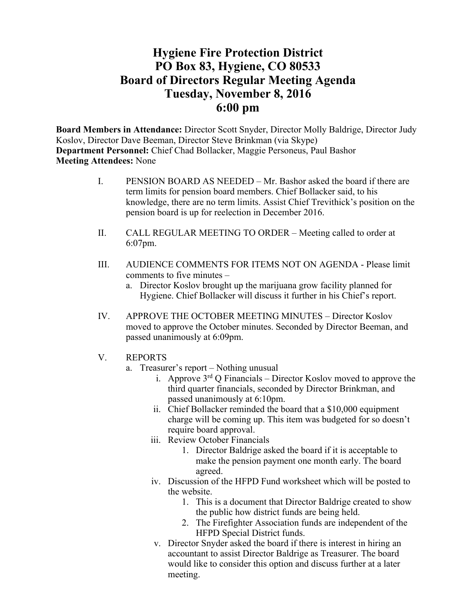## **Hygiene Fire Protection District PO Box 83, Hygiene, CO 80533 Board of Directors Regular Meeting Agenda Tuesday, November 8, 2016 6:00 pm**

**Board Members in Attendance:** Director Scott Snyder, Director Molly Baldrige, Director Judy Koslov, Director Dave Beeman, Director Steve Brinkman (via Skype) **Department Personnel:** Chief Chad Bollacker, Maggie Personeus, Paul Bashor **Meeting Attendees:** None

- I. PENSION BOARD AS NEEDED Mr. Bashor asked the board if there are term limits for pension board members. Chief Bollacker said, to his knowledge, there are no term limits. Assist Chief Trevithick's position on the pension board is up for reelection in December 2016.
- II. CALL REGULAR MEETING TO ORDER Meeting called to order at 6:07pm.
- III. AUDIENCE COMMENTS FOR ITEMS NOT ON AGENDA Please limit comments to five minutes –
	- a. Director Koslov brought up the marijuana grow facility planned for Hygiene. Chief Bollacker will discuss it further in his Chief's report.
- IV. APPROVE THE OCTOBER MEETING MINUTES Director Koslov moved to approve the October minutes. Seconded by Director Beeman, and passed unanimously at 6:09pm.
- V. REPORTS
	- a. Treasurer's report Nothing unusual
		- i. Approve  $3<sup>rd</sup>$  Q Financials Director Koslov moved to approve the third quarter financials, seconded by Director Brinkman, and passed unanimously at 6:10pm.
		- ii. Chief Bollacker reminded the board that a \$10,000 equipment charge will be coming up. This item was budgeted for so doesn't require board approval.
		- iii. Review October Financials
			- 1. Director Baldrige asked the board if it is acceptable to make the pension payment one month early. The board agreed.
		- iv. Discussion of the HFPD Fund worksheet which will be posted to the website.
			- 1. This is a document that Director Baldrige created to show the public how district funds are being held.
			- 2. The Firefighter Association funds are independent of the HFPD Special District funds.
		- v. Director Snyder asked the board if there is interest in hiring an accountant to assist Director Baldrige as Treasurer. The board would like to consider this option and discuss further at a later meeting.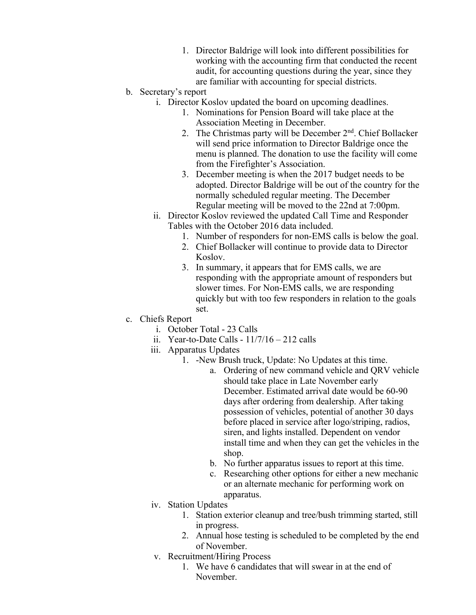- 1. Director Baldrige will look into different possibilities for working with the accounting firm that conducted the recent audit, for accounting questions during the year, since they are familiar with accounting for special districts.
- b. Secretary's report
	- i. Director Koslov updated the board on upcoming deadlines.
		- 1. Nominations for Pension Board will take place at the Association Meeting in December.
		- 2. The Christmas party will be December 2<sup>nd</sup>. Chief Bollacker will send price information to Director Baldrige once the menu is planned. The donation to use the facility will come from the Firefighter's Association.
		- 3. December meeting is when the 2017 budget needs to be adopted. Director Baldrige will be out of the country for the normally scheduled regular meeting. The December Regular meeting will be moved to the 22nd at 7:00pm.
	- ii. Director Koslov reviewed the updated Call Time and Responder Tables with the October 2016 data included.
		- 1. Number of responders for non-EMS calls is below the goal.
		- 2. Chief Bollacker will continue to provide data to Director Koslov.
		- 3. In summary, it appears that for EMS calls, we are responding with the appropriate amount of responders but slower times. For Non-EMS calls, we are responding quickly but with too few responders in relation to the goals set.
- c. Chiefs Report
	- i. October Total 23 Calls
	- ii. Year-to-Date Calls  $11/7/16 212$  calls
	- iii. Apparatus Updates
		- 1. -New Brush truck, Update: No Updates at this time.
			- a. Ordering of new command vehicle and QRV vehicle should take place in Late November early December. Estimated arrival date would be 60-90 days after ordering from dealership. After taking possession of vehicles, potential of another 30 days before placed in service after logo/striping, radios, siren, and lights installed. Dependent on vendor install time and when they can get the vehicles in the shop.
			- b. No further apparatus issues to report at this time.
			- c. Researching other options for either a new mechanic or an alternate mechanic for performing work on apparatus.
	- iv. Station Updates
		- 1. Station exterior cleanup and tree/bush trimming started, still in progress.
		- 2. Annual hose testing is scheduled to be completed by the end of November.
	- v. Recruitment/Hiring Process
		- 1. We have 6 candidates that will swear in at the end of November.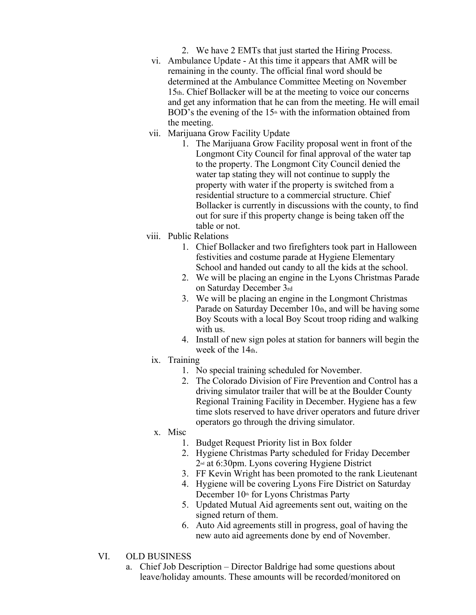- 2. We have 2 EMTs that just started the Hiring Process.
- vi. Ambulance Update At this time it appears that AMR will be remaining in the county. The official final word should be determined at the Ambulance Committee Meeting on November 15th. Chief Bollacker will be at the meeting to voice our concerns and get any information that he can from the meeting. He will email BOD's the evening of the  $15<sup>th</sup>$  with the information obtained from the meeting.
- vii. Marijuana Grow Facility Update
	- 1. The Marijuana Grow Facility proposal went in front of the Longmont City Council for final approval of the water tap to the property. The Longmont City Council denied the water tap stating they will not continue to supply the property with water if the property is switched from a residential structure to a commercial structure. Chief Bollacker is currently in discussions with the county, to find out for sure if this property change is being taken off the table or not.
- viii. Public Relations
	- 1. Chief Bollacker and two firefighters took part in Halloween festivities and costume parade at Hygiene Elementary School and handed out candy to all the kids at the school.
	- 2. We will be placing an engine in the Lyons Christmas Parade on Saturday December 3rd
	- 3. We will be placing an engine in the Longmont Christmas Parade on Saturday December 10th, and will be having some Boy Scouts with a local Boy Scout troop riding and walking with us.
	- 4. Install of new sign poles at station for banners will begin the week of the 14th.
	- ix. Training
		- 1. No special training scheduled for November.
		- 2. The Colorado Division of Fire Prevention and Control has a driving simulator trailer that will be at the Boulder County Regional Training Facility in December. Hygiene has a few time slots reserved to have driver operators and future driver operators go through the driving simulator.
	- x. Misc
		- 1. Budget Request Priority list in Box folder
		- 2. Hygiene Christmas Party scheduled for Friday December 2nd at 6:30pm. Lyons covering Hygiene District
		- 3. FF Kevin Wright has been promoted to the rank Lieutenant
		- 4. Hygiene will be covering Lyons Fire District on Saturday December  $10<sup>th</sup>$  for Lyons Christmas Party
		- 5. Updated Mutual Aid agreements sent out, waiting on the signed return of them.
		- 6. Auto Aid agreements still in progress, goal of having the new auto aid agreements done by end of November.
- VI. OLD BUSINESS
	- a. Chief Job Description Director Baldrige had some questions about leave/holiday amounts. These amounts will be recorded/monitored on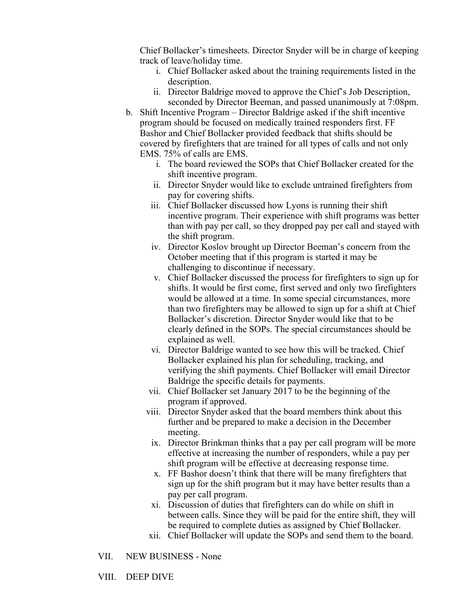Chief Bollacker's timesheets. Director Snyder will be in charge of keeping track of leave/holiday time.

- i. Chief Bollacker asked about the training requirements listed in the description.
- ii. Director Baldrige moved to approve the Chief's Job Description, seconded by Director Beeman, and passed unanimously at 7:08pm.
- b. Shift Incentive Program Director Baldrige asked if the shift incentive program should be focused on medically trained responders first. FF Bashor and Chief Bollacker provided feedback that shifts should be covered by firefighters that are trained for all types of calls and not only EMS. 75% of calls are EMS.
	- i. The board reviewed the SOPs that Chief Bollacker created for the shift incentive program.
	- ii. Director Snyder would like to exclude untrained firefighters from pay for covering shifts.
	- iii. Chief Bollacker discussed how Lyons is running their shift incentive program. Their experience with shift programs was better than with pay per call, so they dropped pay per call and stayed with the shift program.
	- iv. Director Koslov brought up Director Beeman's concern from the October meeting that if this program is started it may be challenging to discontinue if necessary.
	- v. Chief Bollacker discussed the process for firefighters to sign up for shifts. It would be first come, first served and only two firefighters would be allowed at a time. In some special circumstances, more than two firefighters may be allowed to sign up for a shift at Chief Bollacker's discretion. Director Snyder would like that to be clearly defined in the SOPs. The special circumstances should be explained as well.
	- vi. Director Baldrige wanted to see how this will be tracked. Chief Bollacker explained his plan for scheduling, tracking, and verifying the shift payments. Chief Bollacker will email Director Baldrige the specific details for payments.
	- vii. Chief Bollacker set January 2017 to be the beginning of the program if approved.
	- viii. Director Snyder asked that the board members think about this further and be prepared to make a decision in the December meeting.
		- ix. Director Brinkman thinks that a pay per call program will be more effective at increasing the number of responders, while a pay per shift program will be effective at decreasing response time.
		- x. FF Bashor doesn't think that there will be many firefighters that sign up for the shift program but it may have better results than a pay per call program.
	- xi. Discussion of duties that firefighters can do while on shift in between calls. Since they will be paid for the entire shift, they will be required to complete duties as assigned by Chief Bollacker.
	- xii. Chief Bollacker will update the SOPs and send them to the board.
- VII. NEW BUSINESS None

VIII. DEEP DIVE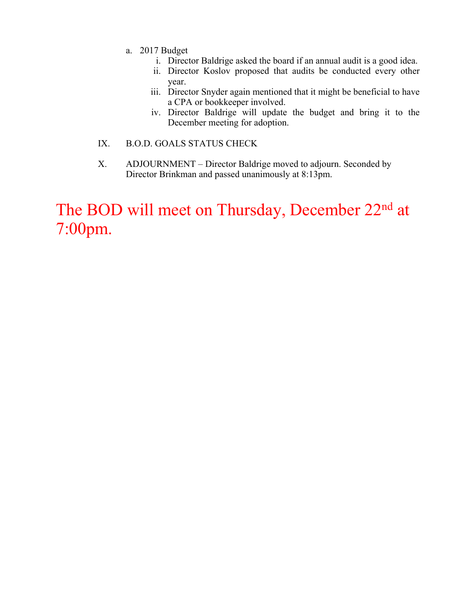- a. 2017 Budget
	- i. Director Baldrige asked the board if an annual audit is a good idea.
	- ii. Director Koslov proposed that audits be conducted every other year.
	- iii. Director Snyder again mentioned that it might be beneficial to have a CPA or bookkeeper involved.
	- iv. Director Baldrige will update the budget and bring it to the December meeting for adoption.
- IX. B.O.D. GOALS STATUS CHECK
- X. ADJOURNMENT Director Baldrige moved to adjourn. Seconded by Director Brinkman and passed unanimously at 8:13pm.

# The BOD will meet on Thursday, December 22<sup>nd</sup> at 7:00pm.